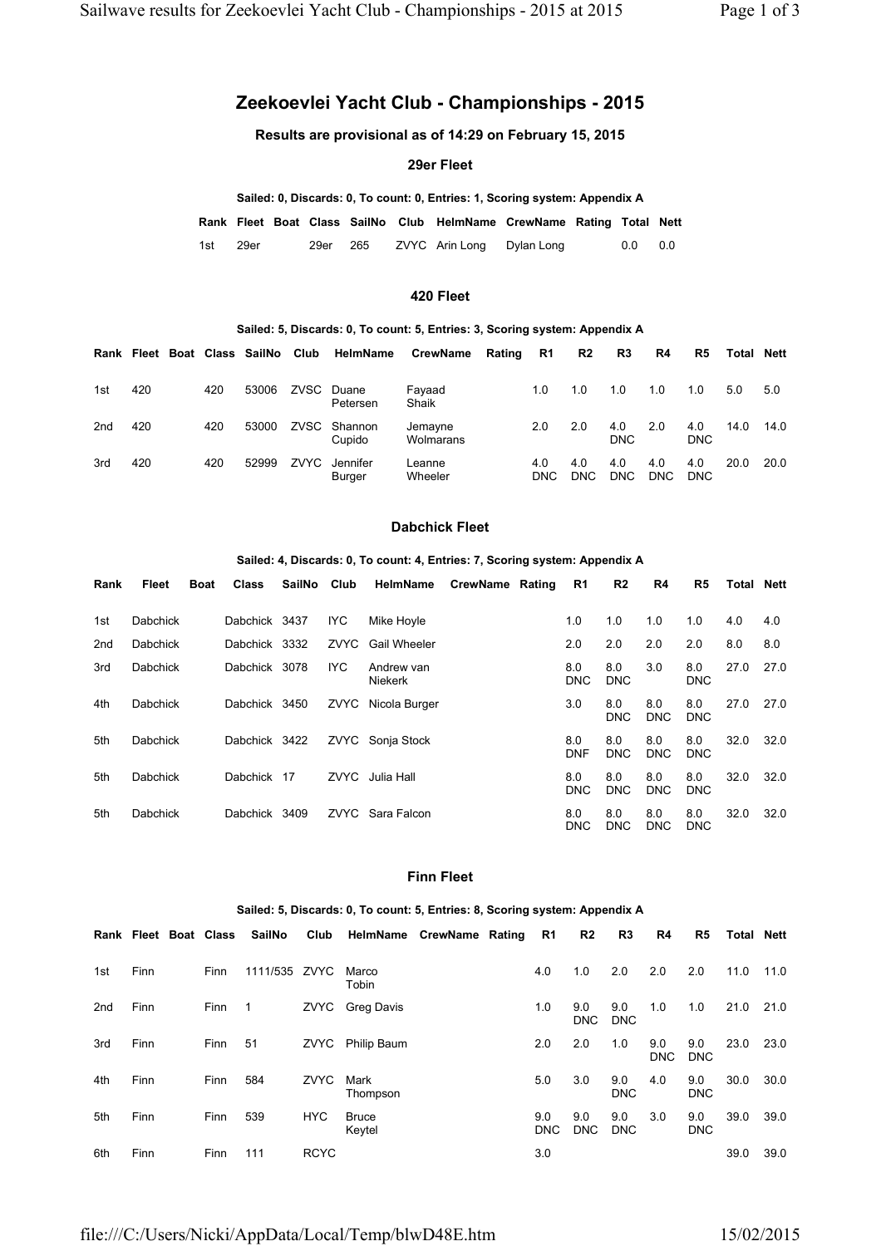# **Zeekoevlei Yacht Club - Championships - 2015**

**Results are provisional as of 14:29 on February 15, 2015**

## **29er Fleet**

|     |      |      |     |                | Sailed: 0, Discards: 0, To count: 0, Entries: 1, Scoring system: Appendix A |     |     |
|-----|------|------|-----|----------------|-----------------------------------------------------------------------------|-----|-----|
|     |      |      |     |                | Rank Fleet Boat Class SailNo Club HelmName CrewName Rating Total Nett       |     |     |
| 1st | 29er | 29er | 265 | ZVYC Arin Long | Dylan Long                                                                  | 0.0 | 0.0 |

#### **420 Fleet**

#### **Sailed: 5, Discards: 0, To count: 5, Entries: 3, Scoring system: Appendix A**

|     | Rank Fleet |     | Boat Class SailNo Club |      | HelmName               | <b>CrewName</b>      | Rating | <b>R1</b>         | R2                | R3                | R4                | R5                | Total | <b>Nett</b> |
|-----|------------|-----|------------------------|------|------------------------|----------------------|--------|-------------------|-------------------|-------------------|-------------------|-------------------|-------|-------------|
| 1st | 420        | 420 | 53006                  |      | ZVSC Duane<br>Petersen | Fayaad<br>Shaik      |        | 1.0               | 1.0               | 1.0               | 1.0               | 1.0               | 5.0   | 5.0         |
| 2nd | 420        | 420 | 53000                  |      | ZVSC Shannon<br>Cupido | Jemayne<br>Wolmarans |        | 2.0               | 2.0               | 4.0<br><b>DNC</b> | 2.0               | 4.0<br><b>DNC</b> | 14.0  | 14.0        |
| 3rd | 420        | 420 | 52999                  | ZVYC | Jennifer<br>Burger     | Leanne<br>Wheeler    |        | 4.0<br><b>DNC</b> | 4.0<br><b>DNC</b> | 4.0<br><b>DNC</b> | 4.0<br><b>DNC</b> | 4.0<br><b>DNC</b> | 20.0  | 20.0        |

## **Dabchick Fleet**

#### **Sailed: 4, Discards: 0, To count: 4, Entries: 7, Scoring system: Appendix A**

| Rank            | Fleet           | <b>Boat</b> | <b>Class</b>  | SailNo Club |            | HelmName                     | <b>CrewName Rating</b> | R1                | R <sub>2</sub>    | R4                | R5                | Total | <b>Nett</b> |
|-----------------|-----------------|-------------|---------------|-------------|------------|------------------------------|------------------------|-------------------|-------------------|-------------------|-------------------|-------|-------------|
| 1st             | Dabchick        |             | Dabchick 3437 |             | IYC.       | Mike Hoyle                   |                        | 1.0               | 1.0               | 1.0               | 1.0               | 4.0   | 4.0         |
| 2 <sub>nd</sub> | Dabchick        |             | Dabchick 3332 |             | ZVYC       | <b>Gail Wheeler</b>          |                        | 2.0               | 2.0               | 2.0               | 2.0               | 8.0   | 8.0         |
| 3rd             | Dabchick        |             | Dabchick 3078 |             | <b>IYC</b> | Andrew van<br><b>Niekerk</b> |                        | 8.0<br><b>DNC</b> | 8.0<br><b>DNC</b> | 3.0               | 8.0<br><b>DNC</b> | 27.0  | 27.0        |
| 4th             | Dabchick        |             | Dabchick 3450 |             | ZVYC       | Nicola Burger                |                        | 3.0               | 8.0<br><b>DNC</b> | 8.0<br><b>DNC</b> | 8.0<br><b>DNC</b> | 27.0  | 27.0        |
| 5th             | <b>Dabchick</b> |             | Dabchick 3422 |             |            | ZVYC Sonja Stock             |                        | 8.0<br><b>DNF</b> | 8.0<br><b>DNC</b> | 8.0<br><b>DNC</b> | 8.0<br><b>DNC</b> | 32.0  | 32.0        |
| 5th             | Dabchick        |             | Dabchick 17   |             |            | ZVYC Julia Hall              |                        | 8.0<br>DNC        | 8.0<br><b>DNC</b> | 8.0<br><b>DNC</b> | 8.0<br><b>DNC</b> | 32.0  | 32.0        |
| 5th             | Dabchick        |             | Dabchick      | 3409        |            | <b>ZVYC</b> Sara Falcon      |                        | 8.0<br>DNC.       | 8.0<br><b>DNC</b> | 8.0<br><b>DNC</b> | 8.0<br><b>DNC</b> | 32.0  | 32.0        |

#### **Finn Fleet**

#### **Sailed: 5, Discards: 0, To count: 5, Entries: 8, Scoring system: Appendix A Rank Fleet Boat Class SailNo Club HelmName CrewName Rating R1 R2 R3 R4 R5 Total Nett** 1st Finn Finn 1111/535 ZVYC Marco Tobin 4.0 1.0 2.0 2.0 2.0 11.0 11.0 2nd Finn Finn 1 ZVYC Greg Davis 1.0 9.0 DNC 9.0 DNC 1.0 1.0 21.0 21.0 3rd Finn Finn 51 ZVYC Philip Baum 2.0 2.0 1.0 9.0 DNC 9.0 DNC 23.0 23.0 4th Finn Finn 584 ZVYC Mark Thompson 5.0 3.0 9.0 DNC 4.0 9.0 DNC 30.0 30.0 5th Finn Finn 539 HYC Bruce Keytel 9.0 DNC 9.0 DNC 9.0 DNC 3.0 9.0 DNC 39.0 39.0 6th Finn Finn 111 RCYC 3.0 39.0 39.0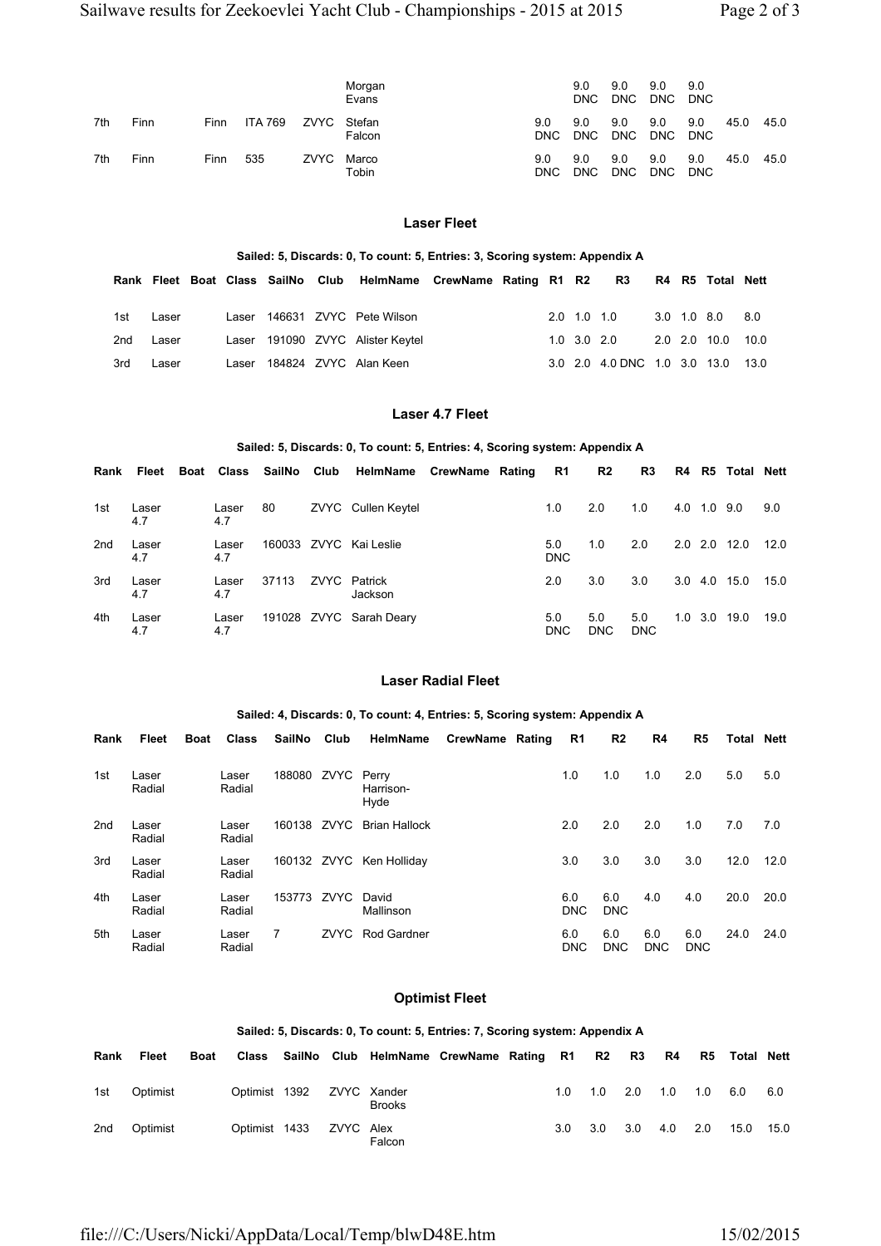|     |      |             |                |      | Morgan<br>Evans  |                   | 9.0<br><b>DNC</b> | 9.0<br><b>DNC</b> | 9.0<br><b>DNC</b> | 9.0<br><b>DNC</b> |      |      |
|-----|------|-------------|----------------|------|------------------|-------------------|-------------------|-------------------|-------------------|-------------------|------|------|
| 7th | Finn | <b>Finn</b> | <b>ITA 769</b> | ZVYC | Stefan<br>Falcon | 9.0<br><b>DNC</b> | 9.0<br>DNC        | 9.0<br><b>DNC</b> | 9.0<br><b>DNC</b> | 9.0<br><b>DNC</b> | 45.0 | 45.0 |
| 7th | Finn | Finn        | 535            | ZVYC | Marco<br>Tobin   | 9.0<br><b>DNC</b> | 9.0<br><b>DNC</b> | 9.0<br><b>DNC</b> | 9.0<br><b>DNC</b> | 9.0<br><b>DNC</b> | 45.0 | 45.0 |

# **Laser Fleet**

#### **Sailed: 5, Discards: 0, To count: 5, Entries: 3, Scoring system: Appendix A**

|     |       |  |  | Rank Fleet Boat Class SailNo Club HelmName CrewName Rating R1 R2 R3 R4 R5 Total Nett |  |  |                                   |  |                   |  |
|-----|-------|--|--|--------------------------------------------------------------------------------------|--|--|-----------------------------------|--|-------------------|--|
|     |       |  |  |                                                                                      |  |  |                                   |  |                   |  |
| 1st | Laser |  |  | Laser 146631 ZVYC Pete Wilson                                                        |  |  | 2.0 1.0 1.0 3.0 1.0 8.0 8.0       |  |                   |  |
| 2nd | Laser |  |  | Laser 191090 ZVYC Alister Keytel                                                     |  |  | 1.0 3.0 2.0                       |  | 2.0 2.0 10.0 10.0 |  |
| 3rd | Laser |  |  | Laser 184824 ZVYC Alan Keen                                                          |  |  | 3.0 2.0 4.0 DNC 1.0 3.0 13.0 13.0 |  |                   |  |

# **Laser 4.7 Fleet**

## **Sailed: 5, Discards: 0, To count: 5, Entries: 4, Scoring system: Appendix A**

| Rank | Fleet        |              | Boat Class SailNo Club | HelmName CrewName Rating  |  | R1                | R2                | R3                |     |             | R4 R5 Total Nett |      |
|------|--------------|--------------|------------------------|---------------------------|--|-------------------|-------------------|-------------------|-----|-------------|------------------|------|
| 1st  | Laser<br>4.7 | Laser<br>4.7 | 80                     | <b>ZVYC</b> Cullen Keytel |  | 1.0               | 2.0               | 1.0               |     | 4.0 1.0 9.0 |                  | 9.0  |
| 2nd  | Laser<br>4.7 | Laser<br>4.7 |                        | 160033 ZVYC Kai Leslie    |  | 5.0<br><b>DNC</b> | 1.0               | 2.0               | 2.0 | 2.0         | 12.0             | 12.0 |
| 3rd  | Laser<br>4.7 | Laser<br>4.7 | 37113                  | ZVYC Patrick<br>Jackson   |  | 2.0               | 3.0               | 3.0               | 3.0 | 4.0         | 15.0             | 15.0 |
| 4th  | Laser<br>4.7 | Laser<br>4.7 |                        | 191028 ZVYC Sarah Deary   |  | 5.0<br><b>DNC</b> | 5.0<br><b>DNC</b> | 5.0<br><b>DNC</b> | 1.0 | 3.0         | 19.0             | 19.0 |

## **Laser Radial Fleet**

#### **Sailed: 4, Discards: 0, To count: 4, Entries: 5, Scoring system: Appendix A**

| Rank            | Fleet           | <b>Boat</b> | <b>Class</b>    | SailNo | Club | HelmName                   | <b>CrewName Rating</b> | R1                | R <sub>2</sub>    | R4                | R5                | Total | <b>Nett</b> |
|-----------------|-----------------|-------------|-----------------|--------|------|----------------------------|------------------------|-------------------|-------------------|-------------------|-------------------|-------|-------------|
| 1st             | Laser<br>Radial |             | Laser<br>Radial | 188080 | ZVYC | Perry<br>Harrison-<br>Hyde |                        | 1.0               | 1.0               | 1.0               | 2.0               | 5.0   | 5.0         |
| 2 <sub>nd</sub> | Laser<br>Radial |             | Laser<br>Radial | 160138 | ZVYC | <b>Brian Hallock</b>       |                        | 2.0               | 2.0               | 2.0               | 1.0               | 7.0   | 7.0         |
| 3rd             | Laser<br>Radial |             | Laser<br>Radial |        |      | 160132 ZVYC Ken Holliday   |                        | 3.0               | 3.0               | 3.0               | 3.0               | 12.0  | 12.0        |
| 4th             | Laser<br>Radial |             | Laser<br>Radial | 153773 | ZVYC | David<br>Mallinson         |                        | 6.0<br><b>DNC</b> | 6.0<br><b>DNC</b> | 4.0               | 4.0               | 20.0  | 20.0        |
| 5th             | Laser<br>Radial |             | Laser<br>Radial |        | ZVYC | <b>Rod Gardner</b>         |                        | 6.0<br><b>DNC</b> | 6.0<br><b>DNC</b> | 6.0<br><b>DNC</b> | 6.0<br><b>DNC</b> | 24.0  | 24.0        |

# **Optimist Fleet**

# **Sailed: 5, Discards: 0, To count: 5, Entries: 7, Scoring system: Appendix A**

| Rank            | Fleet    | <b>Boat</b> |                           |  | Class SailNo Club HelmName CrewName Rating R1 R2 R3 R4 R5 Total Nett |  |     |                   |     |     |     |           |     |
|-----------------|----------|-------------|---------------------------|--|----------------------------------------------------------------------|--|-----|-------------------|-----|-----|-----|-----------|-----|
| 1st             | Optimist |             | Optimist 1392 ZVYC Xander |  | <b>Brooks</b>                                                        |  |     | $1.0$ $1.0$ $2.0$ |     | 1.0 | 1.0 | 6.0       | 6.0 |
| 2 <sub>nd</sub> | Optimist |             | Optimist 1433 ZVYC Alex   |  | Falcon                                                               |  | 3.0 | 3.0               | 3.0 | 4.0 | 2.0 | 15.0 15.0 |     |